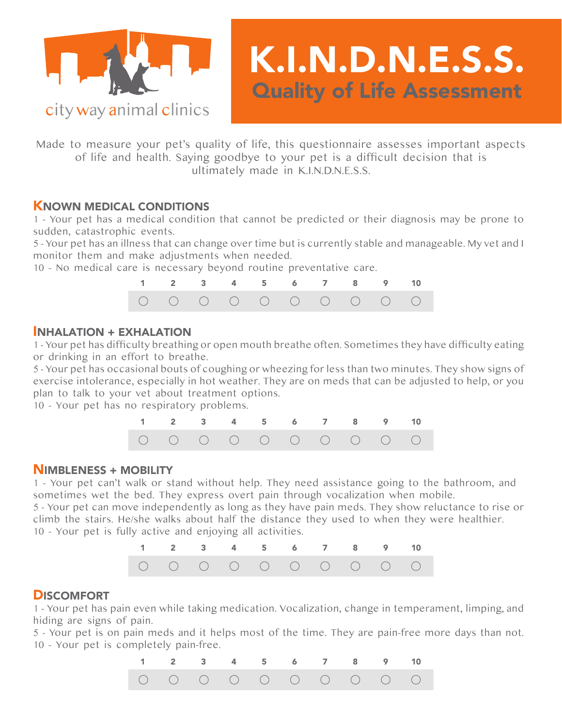

Made to measure your pet's quality of life, this questionnaire assesses important aspects of life and health. Saying goodbye to your pet is a difficult decision that is ultimately made in K.I.N.D.N.E.S.S.

K.I.N.D.N.E.S.S.

Quality of Life Assessment

## KNOWN MEDICAL CONDITIONS

1 - Your pet has a medical condition that cannot be predicted or their diagnosis may be prone to sudden, catastrophic events.

5 - Your pet has an illness that can change over time but is currently stable and manageable. My vet and I monitor them and make adjustments when needed.

10 - No medical care is necessary beyond routine preventative care.



## INHALATION + EXHALATION

1 - Your pet has difficulty breathing or open mouth breathe often. Sometimes they have difficulty eating or drinking in an effort to breathe.

5 - Your pet has occasional bouts of coughing or wheezing for less than two minutes. They show signs of exercise intolerance, especially in hot weather. They are on meds that can be adjusted to help, or you plan to talk to your vet about treatment options.

10 - Your pet has no respiratory problems.



#### NIMBLENESS + MOBILITY

1 - Your pet can't walk or stand without help. They need assistance going to the bathroom, and sometimes wet the bed. They express overt pain through vocalization when mobile.

5 - Your pet can move independently as long as they have pain meds. They show reluctance to rise or climb the stairs. He/she walks about half the distance they used to when they were healthier. 10 - Your pet is fully active and enjoying all activities.



# **DISCOMFORT**

1 - Your pet has pain even while taking medication. Vocalization, change in temperament, limping, and hiding are signs of pain.

5 - Your pet is on pain meds and it helps most of the time. They are pain-free more days than not. 10 - Your pet is completely pain-free.